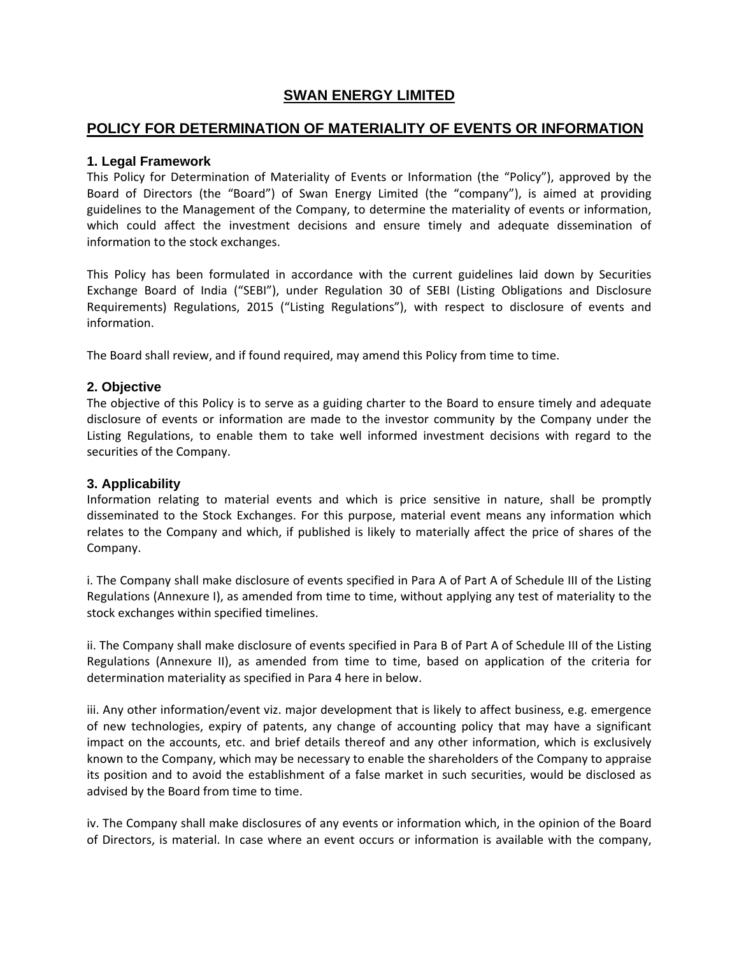# **SWAN ENERGY LIMITED**

# **POLICY FOR DETERMINATION OF MATERIALITY OF EVENTS OR INFORMATION**

# **1. Legal Framework**

This Policy for Determination of Materiality of Events or Information (the "Policy"), approved by the Board of Directors (the "Board") of Swan Energy Limited (the "company"), is aimed at providing guidelines to the Management of the Company, to determine the materiality of events or information, which could affect the investment decisions and ensure timely and adequate dissemination of information to the stock exchanges.

This Policy has been formulated in accordance with the current guidelines laid down by Securities Exchange Board of India ("SEBI"), under Regulation 30 of SEBI (Listing Obligations and Disclosure Requirements) Regulations, 2015 ("Listing Regulations"), with respect to disclosure of events and information.

The Board shall review, and if found required, may amend this Policy from time to time.

# **2. Objective**

The objective of this Policy is to serve as a guiding charter to the Board to ensure timely and adequate disclosure of events or information are made to the investor community by the Company under the Listing Regulations, to enable them to take well informed investment decisions with regard to the securities of the Company.

# **3. Applicability**

Information relating to material events and which is price sensitive in nature, shall be promptly disseminated to the Stock Exchanges. For this purpose, material event means any information which relates to the Company and which, if published is likely to materially affect the price of shares of the Company.

i. The Company shall make disclosure of events specified in Para A of Part A of Schedule III of the Listing Regulations (Annexure I), as amended from time to time, without applying any test of materiality to the stock exchanges within specified timelines.

ii. The Company shall make disclosure of events specified in Para B of Part A of Schedule III of the Listing Regulations (Annexure II), as amended from time to time, based on application of the criteria for determination materiality as specified in Para 4 here in below.

iii. Any other information/event viz. major development that is likely to affect business, e.g. emergence of new technologies, expiry of patents, any change of accounting policy that may have a significant impact on the accounts, etc. and brief details thereof and any other information, which is exclusively known to the Company, which may be necessary to enable the shareholders of the Company to appraise its position and to avoid the establishment of a false market in such securities, would be disclosed as advised by the Board from time to time.

iv. The Company shall make disclosures of any events or information which, in the opinion of the Board of Directors, is material. In case where an event occurs or information is available with the company,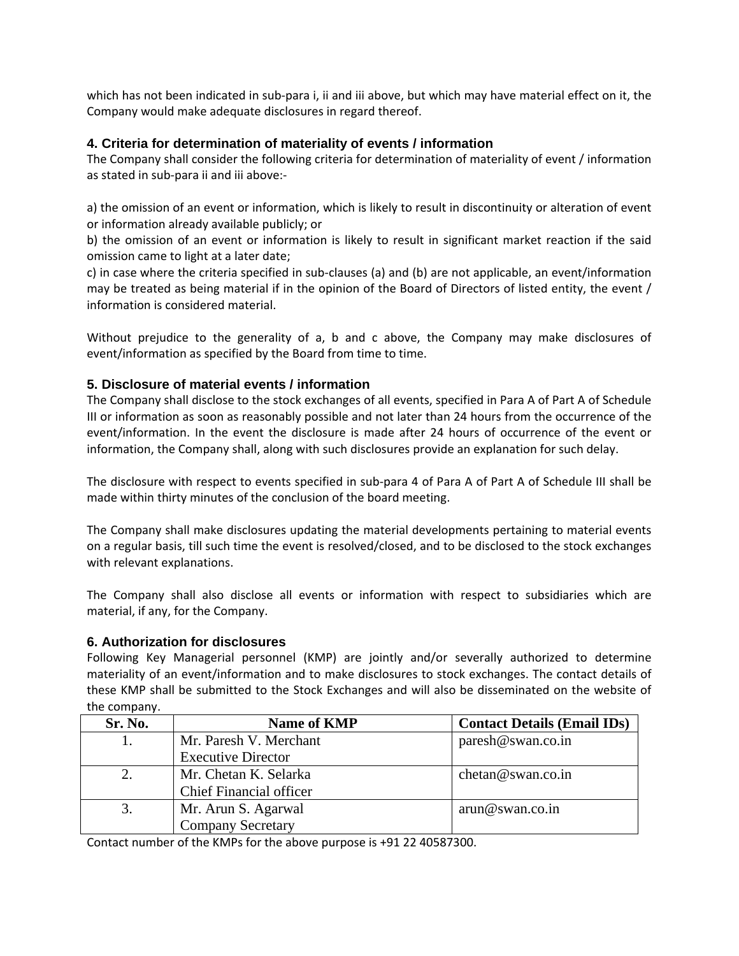which has not been indicated in sub-para i, ii and iii above, but which may have material effect on it, the Company would make adequate disclosures in regard thereof.

# **4. Criteria for determination of materiality of events / information**

The Company shall consider the following criteria for determination of materiality of event / information as stated in sub‐para ii and iii above:‐

a) the omission of an event or information, which is likely to result in discontinuity or alteration of event or information already available publicly; or

b) the omission of an event or information is likely to result in significant market reaction if the said omission came to light at a later date;

c) in case where the criteria specified in sub‐clauses (a) and (b) are not applicable, an event/information may be treated as being material if in the opinion of the Board of Directors of listed entity, the event / information is considered material.

Without prejudice to the generality of a, b and c above, the Company may make disclosures of event/information as specified by the Board from time to time.

## **5. Disclosure of material events / information**

The Company shall disclose to the stock exchanges of all events, specified in Para A of Part A of Schedule III or information as soon as reasonably possible and not later than 24 hours from the occurrence of the event/information. In the event the disclosure is made after 24 hours of occurrence of the event or information, the Company shall, along with such disclosures provide an explanation for such delay.

The disclosure with respect to events specified in sub-para 4 of Para A of Part A of Schedule III shall be made within thirty minutes of the conclusion of the board meeting.

The Company shall make disclosures updating the material developments pertaining to material events on a regular basis, till such time the event is resolved/closed, and to be disclosed to the stock exchanges with relevant explanations.

The Company shall also disclose all events or information with respect to subsidiaries which are material, if any, for the Company.

#### **6. Authorization for disclosures**

Following Key Managerial personnel (KMP) are jointly and/or severally authorized to determine materiality of an event/information and to make disclosures to stock exchanges. The contact details of these KMP shall be submitted to the Stock Exchanges and will also be disseminated on the website of the company.

| Sr. No. | <b>Name of KMP</b>             | <b>Contact Details (Email IDs)</b> |
|---------|--------------------------------|------------------------------------|
|         | Mr. Paresh V. Merchant         | paresh@swan.co.in                  |
|         | <b>Executive Director</b>      |                                    |
|         | Mr. Chetan K. Selarka          | chetan@swan.co.in                  |
|         | <b>Chief Financial officer</b> |                                    |
|         | Mr. Arun S. Agarwal            | arun@swan.co.in                    |
|         | <b>Company Secretary</b>       |                                    |

Contact number of the KMPs for the above purpose is +91 22 40587300.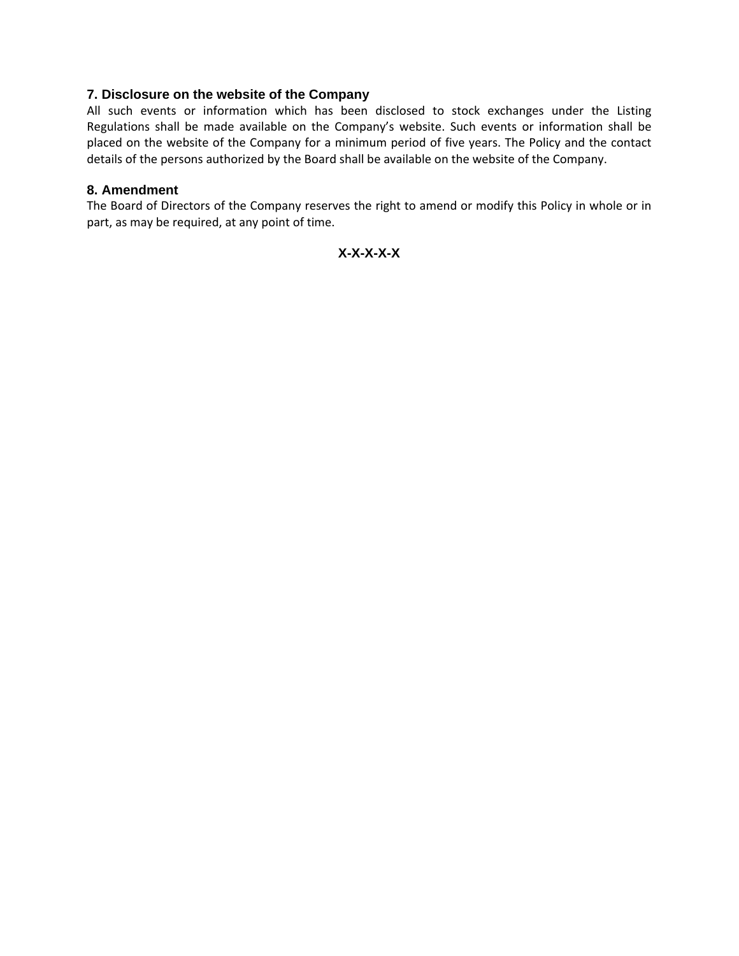## **7. Disclosure on the website of the Company**

All such events or information which has been disclosed to stock exchanges under the Listing Regulations shall be made available on the Company's website. Such events or information shall be placed on the website of the Company for a minimum period of five years. The Policy and the contact details of the persons authorized by the Board shall be available on the website of the Company.

#### **8. Amendment**

The Board of Directors of the Company reserves the right to amend or modify this Policy in whole or in part, as may be required, at any point of time.

**X-X-X-X-X**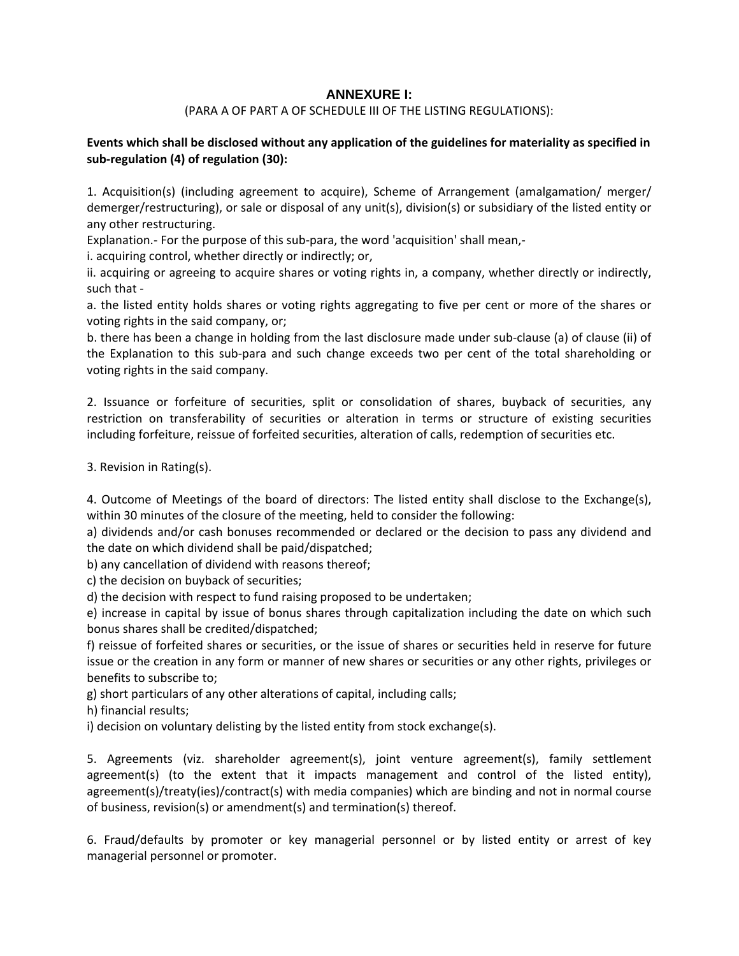# **ANNEXURE I:**

#### (PARA A OF PART A OF SCHEDULE III OF THE LISTING REGULATIONS):

#### **Events which shall be disclosed without any application of the guidelines for materiality as specified in sub‐regulation (4) of regulation (30):**

1. Acquisition(s) (including agreement to acquire), Scheme of Arrangement (amalgamation/ merger/ demerger/restructuring), or sale or disposal of any unit(s), division(s) or subsidiary of the listed entity or any other restructuring.

Explanation.‐ For the purpose of this sub‐para, the word 'acquisition' shall mean,‐

i. acquiring control, whether directly or indirectly; or,

ii. acquiring or agreeing to acquire shares or voting rights in, a company, whether directly or indirectly, such that ‐

a. the listed entity holds shares or voting rights aggregating to five per cent or more of the shares or voting rights in the said company, or;

b. there has been a change in holding from the last disclosure made under sub‐clause (a) of clause (ii) of the Explanation to this sub‐para and such change exceeds two per cent of the total shareholding or voting rights in the said company.

2. Issuance or forfeiture of securities, split or consolidation of shares, buyback of securities, any restriction on transferability of securities or alteration in terms or structure of existing securities including forfeiture, reissue of forfeited securities, alteration of calls, redemption of securities etc.

3. Revision in Rating(s).

4. Outcome of Meetings of the board of directors: The listed entity shall disclose to the Exchange(s), within 30 minutes of the closure of the meeting, held to consider the following:

a) dividends and/or cash bonuses recommended or declared or the decision to pass any dividend and the date on which dividend shall be paid/dispatched;

b) any cancellation of dividend with reasons thereof;

c) the decision on buyback of securities;

d) the decision with respect to fund raising proposed to be undertaken;

e) increase in capital by issue of bonus shares through capitalization including the date on which such bonus shares shall be credited/dispatched;

f) reissue of forfeited shares or securities, or the issue of shares or securities held in reserve for future issue or the creation in any form or manner of new shares or securities or any other rights, privileges or benefits to subscribe to;

g) short particulars of any other alterations of capital, including calls;

h) financial results;

i) decision on voluntary delisting by the listed entity from stock exchange(s).

5. Agreements (viz. shareholder agreement(s), joint venture agreement(s), family settlement agreement(s) (to the extent that it impacts management and control of the listed entity), agreement(s)/treaty(ies)/contract(s) with media companies) which are binding and not in normal course of business, revision(s) or amendment(s) and termination(s) thereof.

6. Fraud/defaults by promoter or key managerial personnel or by listed entity or arrest of key managerial personnel or promoter.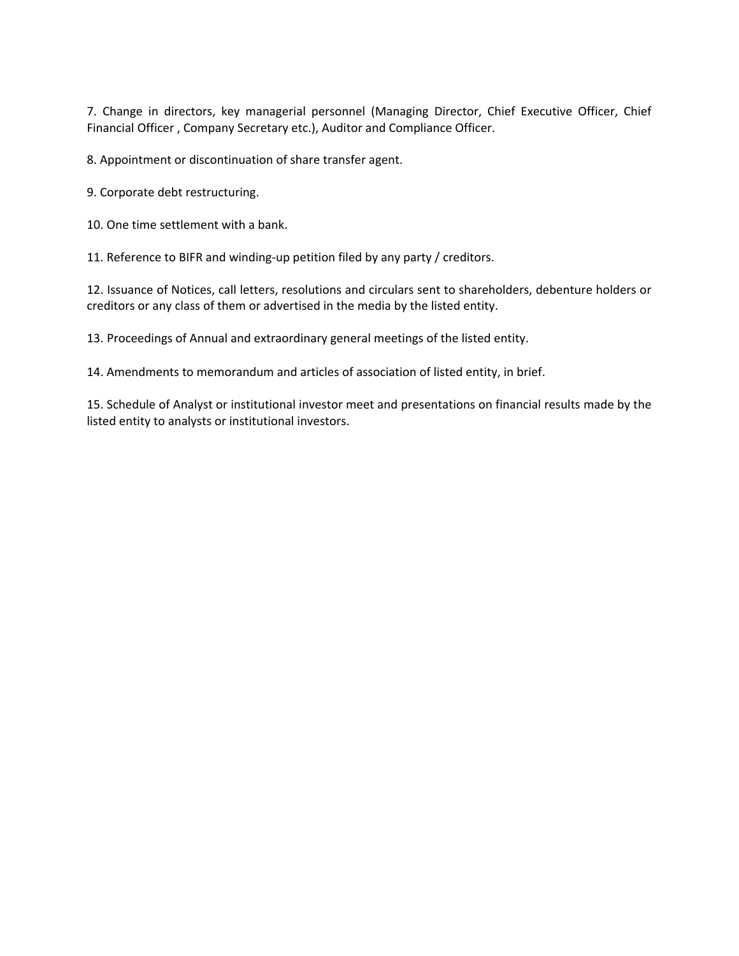7. Change in directors, key managerial personnel (Managing Director, Chief Executive Officer, Chief Financial Officer , Company Secretary etc.), Auditor and Compliance Officer.

8. Appointment or discontinuation of share transfer agent.

9. Corporate debt restructuring.

10. One time settlement with a bank.

11. Reference to BIFR and winding-up petition filed by any party / creditors.

12. Issuance of Notices, call letters, resolutions and circulars sent to shareholders, debenture holders or creditors or any class of them or advertised in the media by the listed entity.

13. Proceedings of Annual and extraordinary general meetings of the listed entity.

14. Amendments to memorandum and articles of association of listed entity, in brief.

15. Schedule of Analyst or institutional investor meet and presentations on financial results made by the listed entity to analysts or institutional investors.